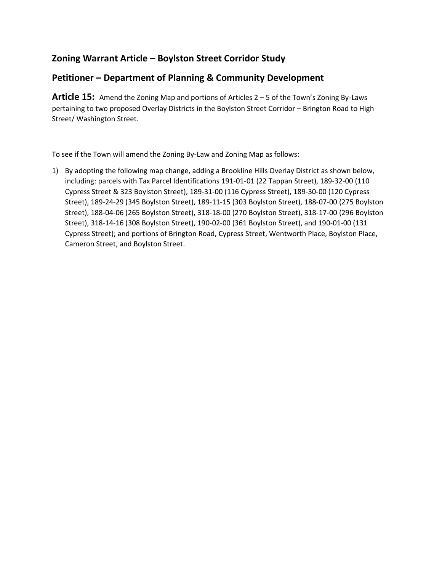# **Zoning Warrant Article – Boylston Street Corridor Study**

# **Petitioner – Department of Planning & Community Development**

**Article 15:** Amend the Zoning Map and portions of Articles 2 – 5 of the Town's Zoning By-Laws pertaining to two proposed Overlay Districts in the Boylston Street Corridor – Brington Road to High Street/ Washington Street.

To see if the Town will amend the Zoning By-Law and Zoning Map as follows:

1) By adopting the following map change, adding a Brookline Hills Overlay District as shown below, including: parcels with Tax Parcel Identifications 191-01-01 (22 Tappan Street), 189-32-00 (110 Cypress Street & 323 Boylston Street), 189-31-00 (116 Cypress Street), 189-30-00 (120 Cypress Street), 189-24-29 (345 Boylston Street), 189-11-15 (303 Boylston Street), 188-07-00 (275 Boylston Street), 188-04-06 (265 Boylston Street), 318-18-00 (270 Boylston Street), 318-17-00 (296 Boylston Street), 318-14-16 (308 Boylston Street), 190-02-00 (361 Boylston Street), and 190-01-00 (131 Cypress Street); and portions of Brington Road, Cypress Street, Wentworth Place, Boylston Place, Cameron Street, and Boylston Street.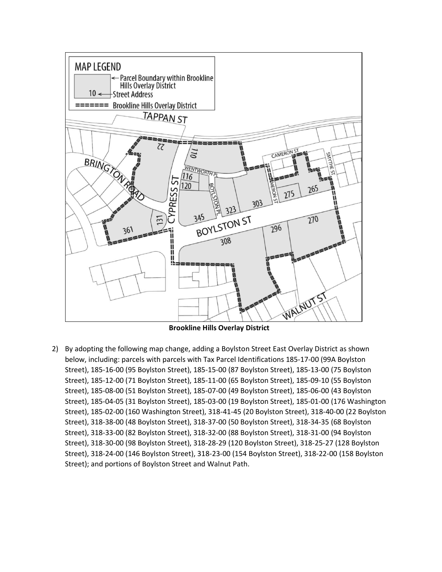

**Brookline Hills Overlay District**

2) By adopting the following map change, adding a Boylston Street East Overlay District as shown below, including: parcels with parcels with Tax Parcel Identifications 185-17-00 (99A Boylston Street), 185-16-00 (95 Boylston Street), 185-15-00 (87 Boylston Street), 185-13-00 (75 Boylston Street), 185-12-00 (71 Boylston Street), 185-11-00 (65 Boylston Street), 185-09-10 (55 Boylston Street), 185-08-00 (51 Boylston Street), 185-07-00 (49 Boylston Street), 185-06-00 (43 Boylston Street), 185-04-05 (31 Boylston Street), 185-03-00 (19 Boylston Street), 185-01-00 (176 Washington Street), 185-02-00 (160 Washington Street), 318-41-45 (20 Boylston Street), 318-40-00 (22 Boylston Street), 318-38-00 (48 Boylston Street), 318-37-00 (50 Boylston Street), 318-34-35 (68 Boylston Street), 318-33-00 (82 Boylston Street), 318-32-00 (88 Boylston Street), 318-31-00 (94 Boylston Street), 318-30-00 (98 Boylston Street), 318-28-29 (120 Boylston Street), 318-25-27 (128 Boylston Street), 318-24-00 (146 Boylston Street), 318-23-00 (154 Boylston Street), 318-22-00 (158 Boylston Street); and portions of Boylston Street and Walnut Path.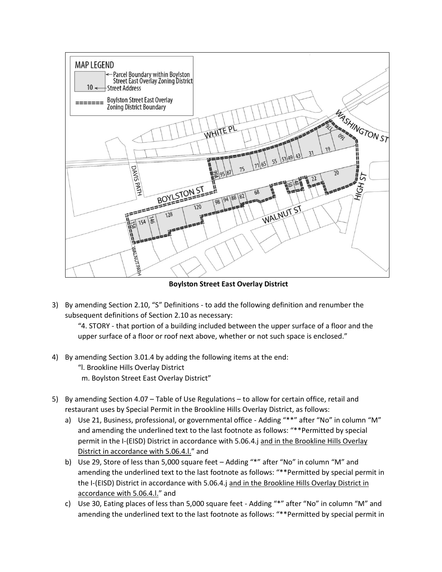

**Boylston Street East Overlay District**

3) By amending Section 2.10, "S" Definitions - to add the following definition and renumber the subsequent definitions of Section 2.10 as necessary:

"4. STORY - that portion of a building included between the upper surface of a floor and the upper surface of a floor or roof next above, whether or not such space is enclosed."

- 4) By amending Section 3.01.4 by adding the following items at the end:
	- "l. Brookline Hills Overlay District
	- m. Boylston Street East Overlay District"
- 5) By amending Section 4.07 Table of Use Regulations to allow for certain office, retail and restaurant uses by Special Permit in the Brookline Hills Overlay District, as follows:
	- a) Use 21, Business, professional, or governmental office Adding "\*\*" after "No" in column "M" and amending the underlined text to the last footnote as follows: "\*\*Permitted by special permit in the I-(EISD) District in accordance with 5.06.4.j and in the Brookline Hills Overlay District in accordance with 5.06.4.l." and
	- b) Use 29, Store of less than 5,000 square feet Adding "\*" after "No" in column "M" and amending the underlined text to the last footnote as follows: "\*\*Permitted by special permit in the I-(EISD) District in accordance with 5.06.4.j and in the Brookline Hills Overlay District in accordance with 5.06.4.l." and
	- c) Use 30, Eating places of less than 5,000 square feet Adding "\*" after "No" in column "M" and amending the underlined text to the last footnote as follows: "\*\*Permitted by special permit in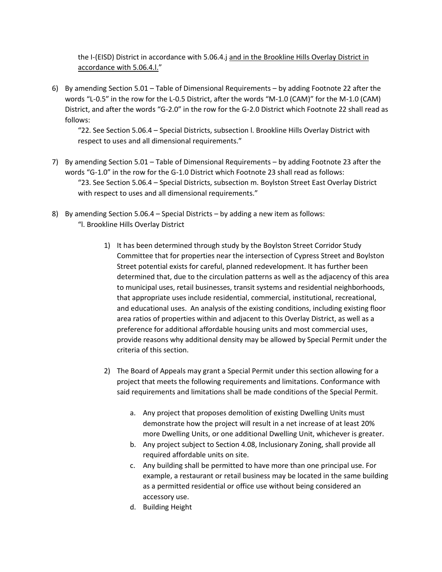the I-(EISD) District in accordance with 5.06.4.j and in the Brookline Hills Overlay District in accordance with 5.06.4.l."

6) By amending Section 5.01 – Table of Dimensional Requirements – by adding Footnote 22 after the words "L-0.5" in the row for the L-0.5 District, after the words "M-1.0 (CAM)" for the M-1.0 (CAM) District, and after the words "G-2.0" in the row for the G-2.0 District which Footnote 22 shall read as follows:

"22. See Section 5.06.4 – Special Districts, subsection l. Brookline Hills Overlay District with respect to uses and all dimensional requirements."

- 7) By amending Section 5.01 Table of Dimensional Requirements by adding Footnote 23 after the words "G-1.0" in the row for the G-1.0 District which Footnote 23 shall read as follows: "23. See Section 5.06.4 – Special Districts, subsection m. Boylston Street East Overlay District with respect to uses and all dimensional requirements."
- 8) By amending Section 5.06.4 Special Districts by adding a new item as follows: "l. Brookline Hills Overlay District
	- 1) It has been determined through study by the Boylston Street Corridor Study Committee that for properties near the intersection of Cypress Street and Boylston Street potential exists for careful, planned redevelopment. It has further been determined that, due to the circulation patterns as well as the adjacency of this area to municipal uses, retail businesses, transit systems and residential neighborhoods, that appropriate uses include residential, commercial, institutional, recreational, and educational uses. An analysis of the existing conditions, including existing floor area ratios of properties within and adjacent to this Overlay District, as well as a preference for additional affordable housing units and most commercial uses, provide reasons why additional density may be allowed by Special Permit under the criteria of this section.
	- 2) The Board of Appeals may grant a Special Permit under this section allowing for a project that meets the following requirements and limitations. Conformance with said requirements and limitations shall be made conditions of the Special Permit.
		- a. Any project that proposes demolition of existing Dwelling Units must demonstrate how the project will result in a net increase of at least 20% more Dwelling Units, or one additional Dwelling Unit, whichever is greater.
		- b. Any project subject to Section 4.08, Inclusionary Zoning, shall provide all required affordable units on site.
		- c. Any building shall be permitted to have more than one principal use. For example, a restaurant or retail business may be located in the same building as a permitted residential or office use without being considered an accessory use.
		- d. Building Height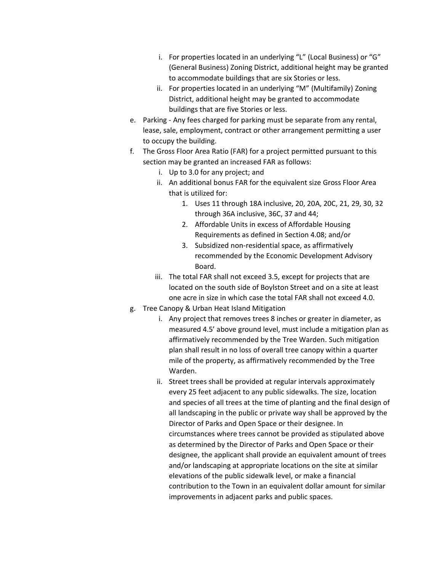- i. For properties located in an underlying "L" (Local Business) or "G" (General Business) Zoning District, additional height may be granted to accommodate buildings that are six Stories or less.
- ii. For properties located in an underlying "M" (Multifamily) Zoning District, additional height may be granted to accommodate buildings that are five Stories or less.
- e. Parking Any fees charged for parking must be separate from any rental, lease, sale, employment, contract or other arrangement permitting a user to occupy the building.
- f. The Gross Floor Area Ratio (FAR) for a project permitted pursuant to this section may be granted an increased FAR as follows:
	- i. Up to 3.0 for any project; and
	- ii. An additional bonus FAR for the equivalent size Gross Floor Area that is utilized for:
		- 1. Uses 11 through 18A inclusive, 20, 20A, 20C, 21, 29, 30, 32 through 36A inclusive, 36C, 37 and 44;
		- 2. Affordable Units in excess of Affordable Housing Requirements as defined in Section 4.08; and/or
		- 3. Subsidized non-residential space, as affirmatively recommended by the Economic Development Advisory Board.
	- iii. The total FAR shall not exceed 3.5, except for projects that are located on the south side of Boylston Street and on a site at least one acre in size in which case the total FAR shall not exceed 4.0.
- g. Tree Canopy & Urban Heat Island Mitigation
	- i. Any project that removes trees 8 inches or greater in diameter, as measured 4.5' above ground level, must include a mitigation plan as affirmatively recommended by the Tree Warden. Such mitigation plan shall result in no loss of overall tree canopy within a quarter mile of the property, as affirmatively recommended by the Tree Warden.
	- ii. Street trees shall be provided at regular intervals approximately every 25 feet adjacent to any public sidewalks. The size, location and species of all trees at the time of planting and the final design of all landscaping in the public or private way shall be approved by the Director of Parks and Open Space or their designee. In circumstances where trees cannot be provided as stipulated above as determined by the Director of Parks and Open Space or their designee, the applicant shall provide an equivalent amount of trees and/or landscaping at appropriate locations on the site at similar elevations of the public sidewalk level, or make a financial contribution to the Town in an equivalent dollar amount for similar improvements in adjacent parks and public spaces.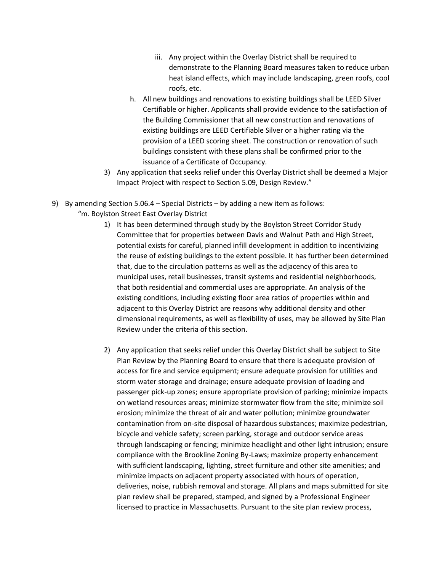- iii. Any project within the Overlay District shall be required to demonstrate to the Planning Board measures taken to reduce urban heat island effects, which may include landscaping, green roofs, cool roofs, etc.
- h. All new buildings and renovations to existing buildings shall be LEED Silver Certifiable or higher. Applicants shall provide evidence to the satisfaction of the Building Commissioner that all new construction and renovations of existing buildings are LEED Certifiable Silver or a higher rating via the provision of a LEED scoring sheet. The construction or renovation of such buildings consistent with these plans shall be confirmed prior to the issuance of a Certificate of Occupancy.
- 3) Any application that seeks relief under this Overlay District shall be deemed a Major Impact Project with respect to Section 5.09, Design Review."
- 9) By amending Section 5.06.4 Special Districts by adding a new item as follows:
	- "m. Boylston Street East Overlay District
		- 1) It has been determined through study by the Boylston Street Corridor Study Committee that for properties between Davis and Walnut Path and High Street, potential exists for careful, planned infill development in addition to incentivizing the reuse of existing buildings to the extent possible. It has further been determined that, due to the circulation patterns as well as the adjacency of this area to municipal uses, retail businesses, transit systems and residential neighborhoods, that both residential and commercial uses are appropriate. An analysis of the existing conditions, including existing floor area ratios of properties within and adjacent to this Overlay District are reasons why additional density and other dimensional requirements, as well as flexibility of uses, may be allowed by Site Plan Review under the criteria of this section.
		- 2) Any application that seeks relief under this Overlay District shall be subject to Site Plan Review by the Planning Board to ensure that there is adequate provision of access for fire and service equipment; ensure adequate provision for utilities and storm water storage and drainage; ensure adequate provision of loading and passenger pick-up zones; ensure appropriate provision of parking; minimize impacts on wetland resources areas; minimize stormwater flow from the site; minimize soil erosion; minimize the threat of air and water pollution; minimize groundwater contamination from on-site disposal of hazardous substances; maximize pedestrian, bicycle and vehicle safety; screen parking, storage and outdoor service areas through landscaping or fencing; minimize headlight and other light intrusion; ensure compliance with the Brookline Zoning By-Laws; maximize property enhancement with sufficient landscaping, lighting, street furniture and other site amenities; and minimize impacts on adjacent property associated with hours of operation, deliveries, noise, rubbish removal and storage. All plans and maps submitted for site plan review shall be prepared, stamped, and signed by a Professional Engineer licensed to practice in Massachusetts. Pursuant to the site plan review process,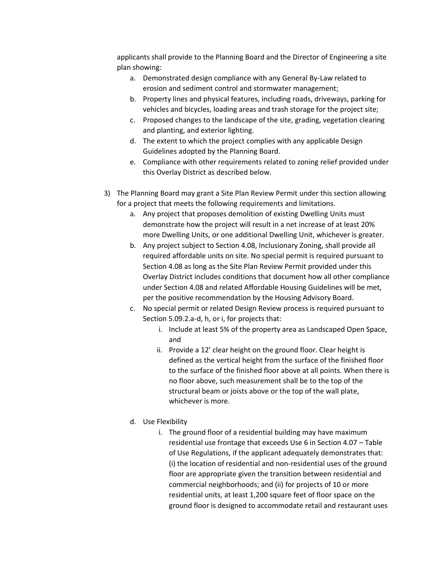applicants shall provide to the Planning Board and the Director of Engineering a site plan showing:

- a. Demonstrated design compliance with any General By-Law related to erosion and sediment control and stormwater management;
- b. Property lines and physical features, including roads, driveways, parking for vehicles and bicycles, loading areas and trash storage for the project site;
- c. Proposed changes to the landscape of the site, grading, vegetation clearing and planting, and exterior lighting.
- d. The extent to which the project complies with any applicable Design Guidelines adopted by the Planning Board.
- e. Compliance with other requirements related to zoning relief provided under this Overlay District as described below.
- 3) The Planning Board may grant a Site Plan Review Permit under this section allowing for a project that meets the following requirements and limitations.
	- a. Any project that proposes demolition of existing Dwelling Units must demonstrate how the project will result in a net increase of at least 20% more Dwelling Units, or one additional Dwelling Unit, whichever is greater.
	- b. Any project subject to Section 4.08, Inclusionary Zoning, shall provide all required affordable units on site. No special permit is required pursuant to Section 4.08 as long as the Site Plan Review Permit provided under this Overlay District includes conditions that document how all other compliance under Section 4.08 and related Affordable Housing Guidelines will be met, per the positive recommendation by the Housing Advisory Board.
	- c. No special permit or related Design Review process is required pursuant to Section 5.09.2.a-d, h, or i, for projects that:
		- i. Include at least 5% of the property area as Landscaped Open Space, and
		- ii. Provide a 12' clear height on the ground floor. Clear height is defined as the vertical height from the surface of the finished floor to the surface of the finished floor above at all points. When there is no floor above, such measurement shall be to the top of the structural beam or joists above or the top of the wall plate, whichever is more.
	- d. Use Flexibility
		- i. The ground floor of a residential building may have maximum residential use frontage that exceeds Use 6 in Section 4.07 – Table of Use Regulations, if the applicant adequately demonstrates that: (i) the location of residential and non-residential uses of the ground floor are appropriate given the transition between residential and commercial neighborhoods; and (ii) for projects of 10 or more residential units, at least 1,200 square feet of floor space on the ground floor is designed to accommodate retail and restaurant uses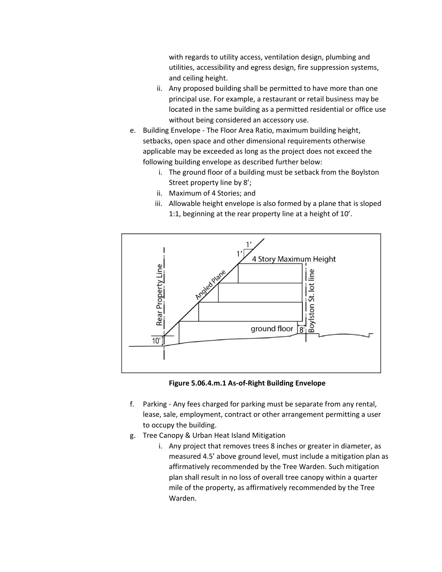with regards to utility access, ventilation design, plumbing and utilities, accessibility and egress design, fire suppression systems, and ceiling height.

- ii. Any proposed building shall be permitted to have more than one principal use. For example, a restaurant or retail business may be located in the same building as a permitted residential or office use without being considered an accessory use.
- e. Building Envelope The Floor Area Ratio, maximum building height, setbacks, open space and other dimensional requirements otherwise applicable may be exceeded as long as the project does not exceed the following building envelope as described further below:
	- i. The ground floor of a building must be setback from the Boylston Street property line by 8';
	- ii. Maximum of 4 Stories; and
	- iii. Allowable height envelope is also formed by a plane that is sloped 1:1, beginning at the rear property line at a height of 10'.





- f. Parking Any fees charged for parking must be separate from any rental, lease, sale, employment, contract or other arrangement permitting a user to occupy the building.
- g. Tree Canopy & Urban Heat Island Mitigation
	- i. Any project that removes trees 8 inches or greater in diameter, as measured 4.5' above ground level, must include a mitigation plan as affirmatively recommended by the Tree Warden. Such mitigation plan shall result in no loss of overall tree canopy within a quarter mile of the property, as affirmatively recommended by the Tree Warden.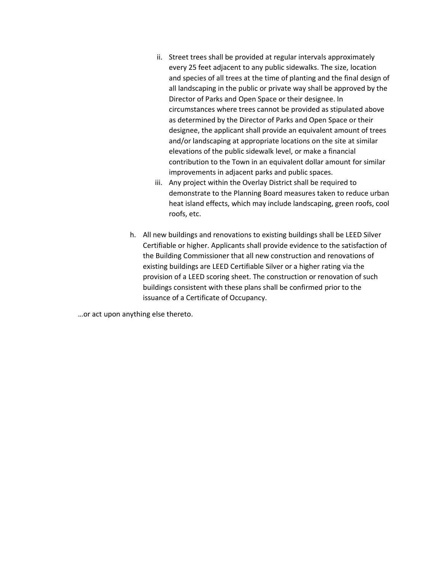- ii. Street trees shall be provided at regular intervals approximately every 25 feet adjacent to any public sidewalks. The size, location and species of all trees at the time of planting and the final design of all landscaping in the public or private way shall be approved by the Director of Parks and Open Space or their designee. In circumstances where trees cannot be provided as stipulated above as determined by the Director of Parks and Open Space or their designee, the applicant shall provide an equivalent amount of trees and/or landscaping at appropriate locations on the site at similar elevations of the public sidewalk level, or make a financial contribution to the Town in an equivalent dollar amount for similar improvements in adjacent parks and public spaces.
- iii. Any project within the Overlay District shall be required to demonstrate to the Planning Board measures taken to reduce urban heat island effects, which may include landscaping, green roofs, cool roofs, etc.
- h. All new buildings and renovations to existing buildings shall be LEED Silver Certifiable or higher. Applicants shall provide evidence to the satisfaction of the Building Commissioner that all new construction and renovations of existing buildings are LEED Certifiable Silver or a higher rating via the provision of a LEED scoring sheet. The construction or renovation of such buildings consistent with these plans shall be confirmed prior to the issuance of a Certificate of Occupancy.

…or act upon anything else thereto.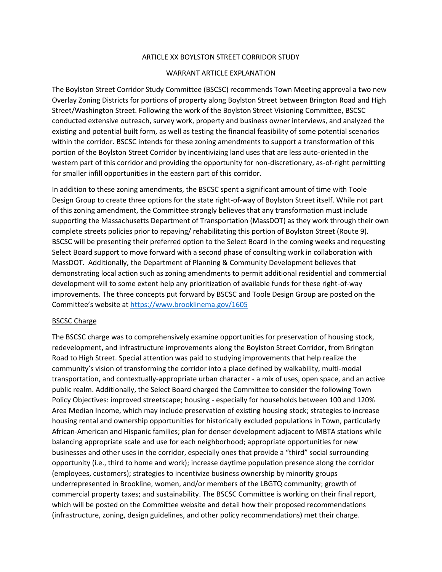#### ARTICLE XX BOYLSTON STREET CORRIDOR STUDY

#### WARRANT ARTICLE EXPLANATION

The Boylston Street Corridor Study Committee (BSCSC) recommends Town Meeting approval a two new Overlay Zoning Districts for portions of property along Boylston Street between Brington Road and High Street/Washington Street. Following the work of the Boylston Street Visioning Committee, BSCSC conducted extensive outreach, survey work, property and business owner interviews, and analyzed the existing and potential built form, as well as testing the financial feasibility of some potential scenarios within the corridor. BSCSC intends for these zoning amendments to support a transformation of this portion of the Boylston Street Corridor by incentivizing land uses that are less auto-oriented in the western part of this corridor and providing the opportunity for non-discretionary, as-of-right permitting for smaller infill opportunities in the eastern part of this corridor.

In addition to these zoning amendments, the BSCSC spent a significant amount of time with Toole Design Group to create three options for the state right-of-way of Boylston Street itself. While not part of this zoning amendment, the Committee strongly believes that any transformation must include supporting the Massachusetts Department of Transportation (MassDOT) as they work through their own complete streets policies prior to repaving/ rehabilitating this portion of Boylston Street (Route 9). BSCSC will be presenting their preferred option to the Select Board in the coming weeks and requesting Select Board support to move forward with a second phase of consulting work in collaboration with MassDOT. Additionally, the Department of Planning & Community Development believes that demonstrating local action such as zoning amendments to permit additional residential and commercial development will to some extent help any prioritization of available funds for these right-of-way improvements. The three concepts put forward by BSCSC and Toole Design Group are posted on the Committee's website at <https://www.brooklinema.gov/1605>

#### BSCSC Charge

The BSCSC charge was to comprehensively examine opportunities for preservation of housing stock, redevelopment, and infrastructure improvements along the Boylston Street Corridor, from Brington Road to High Street. Special attention was paid to studying improvements that help realize the community's vision of transforming the corridor into a place defined by walkability, multi-modal transportation, and contextually-appropriate urban character - a mix of uses, open space, and an active public realm. Additionally, the Select Board charged the Committee to consider the following Town Policy Objectives: improved streetscape; housing - especially for households between 100 and 120% Area Median Income, which may include preservation of existing housing stock; strategies to increase housing rental and ownership opportunities for historically excluded populations in Town, particularly African-American and Hispanic families; plan for denser development adjacent to MBTA stations while balancing appropriate scale and use for each neighborhood; appropriate opportunities for new businesses and other uses in the corridor, especially ones that provide a "third" social surrounding opportunity (i.e., third to home and work); increase daytime population presence along the corridor (employees, customers); strategies to incentivize business ownership by minority groups underrepresented in Brookline, women, and/or members of the LBGTQ community; growth of commercial property taxes; and sustainability. The BSCSC Committee is working on their final report, which will be posted on the Committee website and detail how their proposed recommendations (infrastructure, zoning, design guidelines, and other policy recommendations) met their charge.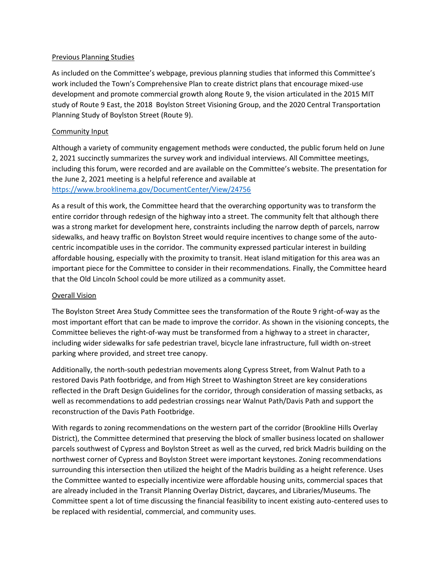#### Previous Planning Studies

As included on the Committee's webpage, previous planning studies that informed this Committee's work included the Town's Comprehensive Plan to create district plans that encourage mixed-use development and promote commercial growth along Route 9, the vision articulated in the 2015 MIT study of Route 9 East, the 2018 Boylston Street Visioning Group, and the 2020 Central Transportation Planning Study of Boylston Street (Route 9).

### Community Input

Although a variety of community engagement methods were conducted, the public forum held on June 2, 2021 succinctly summarizes the survey work and individual interviews. All Committee meetings, including this forum, were recorded and are available on the Committee's website. The presentation for the June 2, 2021 meeting is a helpful reference and available at <https://www.brooklinema.gov/DocumentCenter/View/24756>

As a result of this work, the Committee heard that the overarching opportunity was to transform the entire corridor through redesign of the highway into a street. The community felt that although there was a strong market for development here, constraints including the narrow depth of parcels, narrow sidewalks, and heavy traffic on Boylston Street would require incentives to change some of the autocentric incompatible uses in the corridor. The community expressed particular interest in building affordable housing, especially with the proximity to transit. Heat island mitigation for this area was an important piece for the Committee to consider in their recommendations. Finally, the Committee heard that the Old Lincoln School could be more utilized as a community asset.

### Overall Vision

The Boylston Street Area Study Committee sees the transformation of the Route 9 right-of-way as the most important effort that can be made to improve the corridor. As shown in the visioning concepts, the Committee believes the right-of-way must be transformed from a highway to a street in character, including wider sidewalks for safe pedestrian travel, bicycle lane infrastructure, full width on-street parking where provided, and street tree canopy.

Additionally, the north-south pedestrian movements along Cypress Street, from Walnut Path to a restored Davis Path footbridge, and from High Street to Washington Street are key considerations reflected in the Draft Design Guidelines for the corridor, through consideration of massing setbacks, as well as recommendations to add pedestrian crossings near Walnut Path/Davis Path and support the reconstruction of the Davis Path Footbridge.

With regards to zoning recommendations on the western part of the corridor (Brookline Hills Overlay District), the Committee determined that preserving the block of smaller business located on shallower parcels southwest of Cypress and Boylston Street as well as the curved, red brick Madris building on the northwest corner of Cypress and Boylston Street were important keystones. Zoning recommendations surrounding this intersection then utilized the height of the Madris building as a height reference. Uses the Committee wanted to especially incentivize were affordable housing units, commercial spaces that are already included in the Transit Planning Overlay District, daycares, and Libraries/Museums. The Committee spent a lot of time discussing the financial feasibility to incent existing auto-centered uses to be replaced with residential, commercial, and community uses.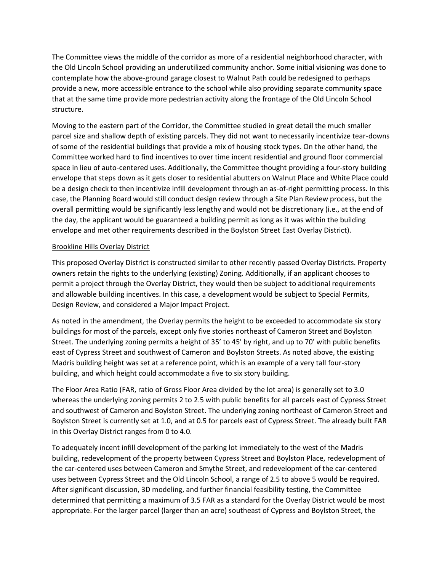The Committee views the middle of the corridor as more of a residential neighborhood character, with the Old Lincoln School providing an underutilized community anchor. Some initial visioning was done to contemplate how the above-ground garage closest to Walnut Path could be redesigned to perhaps provide a new, more accessible entrance to the school while also providing separate community space that at the same time provide more pedestrian activity along the frontage of the Old Lincoln School structure.

Moving to the eastern part of the Corridor, the Committee studied in great detail the much smaller parcel size and shallow depth of existing parcels. They did not want to necessarily incentivize tear-downs of some of the residential buildings that provide a mix of housing stock types. On the other hand, the Committee worked hard to find incentives to over time incent residential and ground floor commercial space in lieu of auto-centered uses. Additionally, the Committee thought providing a four-story building envelope that steps down as it gets closer to residential abutters on Walnut Place and White Place could be a design check to then incentivize infill development through an as-of-right permitting process. In this case, the Planning Board would still conduct design review through a Site Plan Review process, but the overall permitting would be significantly less lengthy and would not be discretionary (i.e., at the end of the day, the applicant would be guaranteed a building permit as long as it was within the building envelope and met other requirements described in the Boylston Street East Overlay District).

### Brookline Hills Overlay District

This proposed Overlay District is constructed similar to other recently passed Overlay Districts. Property owners retain the rights to the underlying (existing) Zoning. Additionally, if an applicant chooses to permit a project through the Overlay District, they would then be subject to additional requirements and allowable building incentives. In this case, a development would be subject to Special Permits, Design Review, and considered a Major Impact Project.

As noted in the amendment, the Overlay permits the height to be exceeded to accommodate six story buildings for most of the parcels, except only five stories northeast of Cameron Street and Boylston Street. The underlying zoning permits a height of 35' to 45' by right, and up to 70' with public benefits east of Cypress Street and southwest of Cameron and Boylston Streets. As noted above, the existing Madris building height was set at a reference point, which is an example of a very tall four-story building, and which height could accommodate a five to six story building.

The Floor Area Ratio (FAR, ratio of Gross Floor Area divided by the lot area) is generally set to 3.0 whereas the underlying zoning permits 2 to 2.5 with public benefits for all parcels east of Cypress Street and southwest of Cameron and Boylston Street. The underlying zoning northeast of Cameron Street and Boylston Street is currently set at 1.0, and at 0.5 for parcels east of Cypress Street. The already built FAR in this Overlay District ranges from 0 to 4.0.

To adequately incent infill development of the parking lot immediately to the west of the Madris building, redevelopment of the property between Cypress Street and Boylston Place, redevelopment of the car-centered uses between Cameron and Smythe Street, and redevelopment of the car-centered uses between Cypress Street and the Old Lincoln School, a range of 2.5 to above 5 would be required. After significant discussion, 3D modeling, and further financial feasibility testing, the Committee determined that permitting a maximum of 3.5 FAR as a standard for the Overlay District would be most appropriate. For the larger parcel (larger than an acre) southeast of Cypress and Boylston Street, the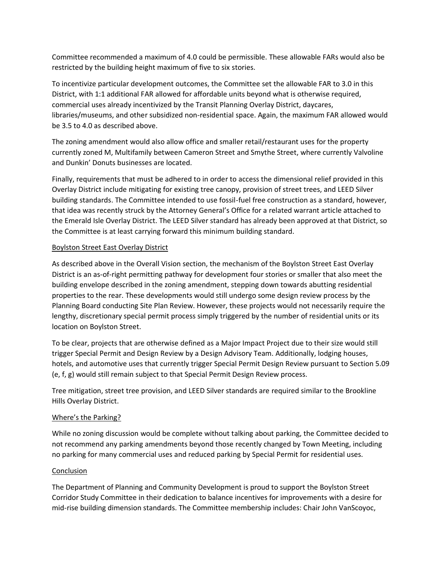Committee recommended a maximum of 4.0 could be permissible. These allowable FARs would also be restricted by the building height maximum of five to six stories.

To incentivize particular development outcomes, the Committee set the allowable FAR to 3.0 in this District, with 1:1 additional FAR allowed for affordable units beyond what is otherwise required, commercial uses already incentivized by the Transit Planning Overlay District, daycares, libraries/museums, and other subsidized non-residential space. Again, the maximum FAR allowed would be 3.5 to 4.0 as described above.

The zoning amendment would also allow office and smaller retail/restaurant uses for the property currently zoned M, Multifamily between Cameron Street and Smythe Street, where currently Valvoline and Dunkin' Donuts businesses are located.

Finally, requirements that must be adhered to in order to access the dimensional relief provided in this Overlay District include mitigating for existing tree canopy, provision of street trees, and LEED Silver building standards. The Committee intended to use fossil-fuel free construction as a standard, however, that idea was recently struck by the Attorney General's Office for a related warrant article attached to the Emerald Isle Overlay District. The LEED Silver standard has already been approved at that District, so the Committee is at least carrying forward this minimum building standard.

## Boylston Street East Overlay District

As described above in the Overall Vision section, the mechanism of the Boylston Street East Overlay District is an as-of-right permitting pathway for development four stories or smaller that also meet the building envelope described in the zoning amendment, stepping down towards abutting residential properties to the rear. These developments would still undergo some design review process by the Planning Board conducting Site Plan Review. However, these projects would not necessarily require the lengthy, discretionary special permit process simply triggered by the number of residential units or its location on Boylston Street.

To be clear, projects that are otherwise defined as a Major Impact Project due to their size would still trigger Special Permit and Design Review by a Design Advisory Team. Additionally, lodging houses, hotels, and automotive uses that currently trigger Special Permit Design Review pursuant to Section 5.09 (e, f, g) would still remain subject to that Special Permit Design Review process.

Tree mitigation, street tree provision, and LEED Silver standards are required similar to the Brookline Hills Overlay District.

## Where's the Parking?

While no zoning discussion would be complete without talking about parking, the Committee decided to not recommend any parking amendments beyond those recently changed by Town Meeting, including no parking for many commercial uses and reduced parking by Special Permit for residential uses.

## Conclusion

The Department of Planning and Community Development is proud to support the Boylston Street Corridor Study Committee in their dedication to balance incentives for improvements with a desire for mid-rise building dimension standards. The Committee membership includes: Chair John VanScoyoc,